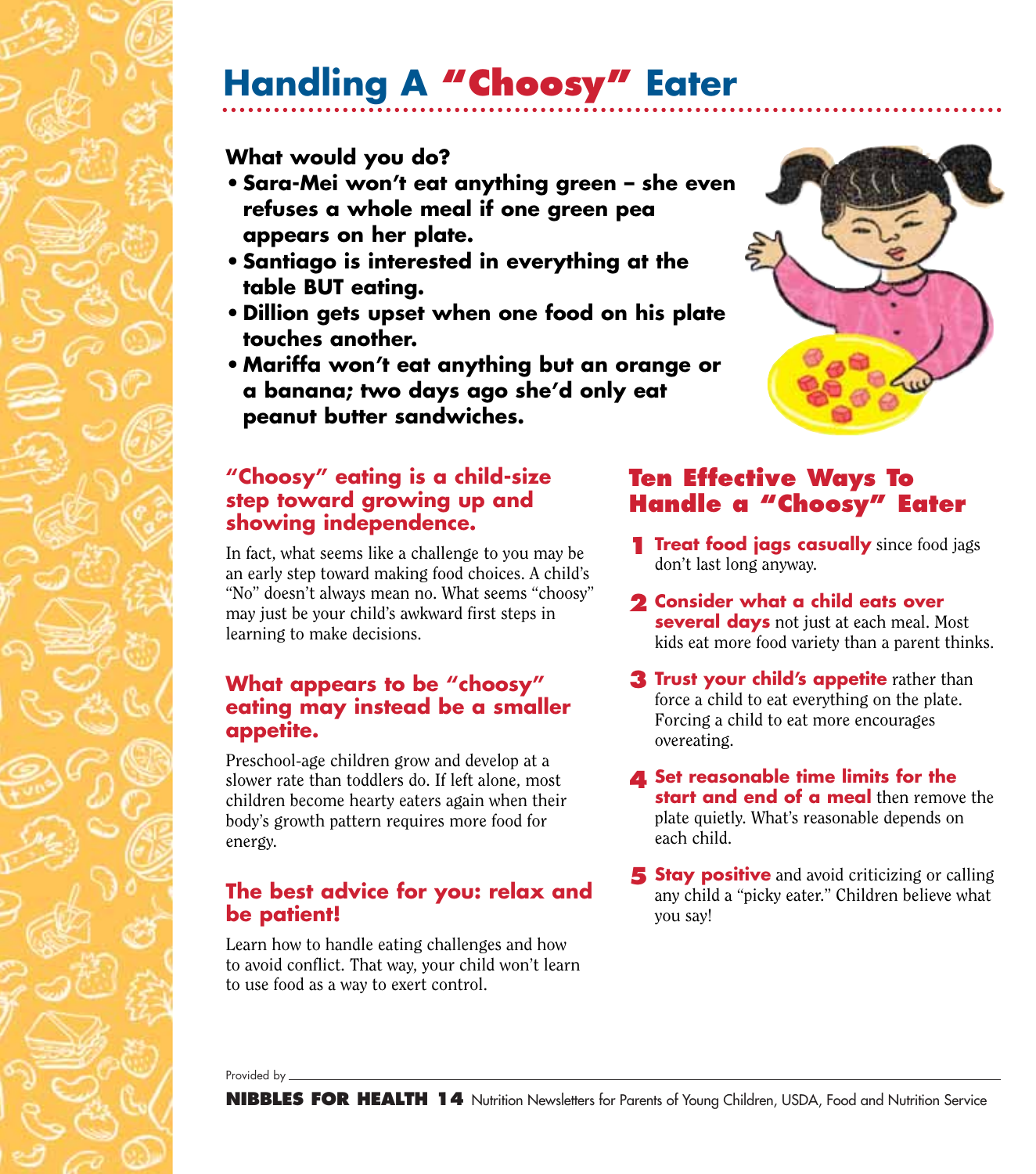# **Handling A "Choosy" Eater**

## **What would you do?**

- **Sara-Mei won't eat anything green she even refuses a whole meal if one green pea appears on her plate.**
- **•Santiago is interested in everything at the table BUT eating.**
- **• Dillion gets upset when one food on his plate touches another.**
- **• Mariffa won't eat anything but an orange or a banana; two days ago she'd only eat peanut butter sandwiches.**

#### **"Choosy" eating is a child-size step toward growing up and showing independence.**

In fact, what seems like a challenge to you may be an early step toward making food choices. A child's "No" doesn't always mean no. What seems "choosy" may just be your child's awkward first steps in learning to make decisions.

#### **What appears to be "choosy" eating may instead be a smaller appetite.**

Preschool-age children grow and develop at a slower rate than toddlers do. If left alone, most children become hearty eaters again when their body's growth pattern requires more food for energy.

### **The best advice for you: relax and be patient!**

Learn how to handle eating challenges and how to avoid conflict. That way, your child won't learn to use food as a way to exert control.

### **Ten Effective Ways To Handle a "Choosy" Eater**

- **1 Treat food jags casually** since food jags don't last long anyway.
- **Consider what a child eats over 2 several days** not just at each meal. Most kids eat more food variety than a parent thinks.
- **Trust your child's appetite** rather than **3** force a child to eat everything on the plate. Forcing a child to eat more encourages overeating.
- **4** Set reasonable time limits for the **start and end of a meal** then remove the plate quietly. What's reasonable depends on each child.
- **5** Stay positive and avoid criticizing or calling any child a "picky eater." Children believe what you say!

Provided by \_